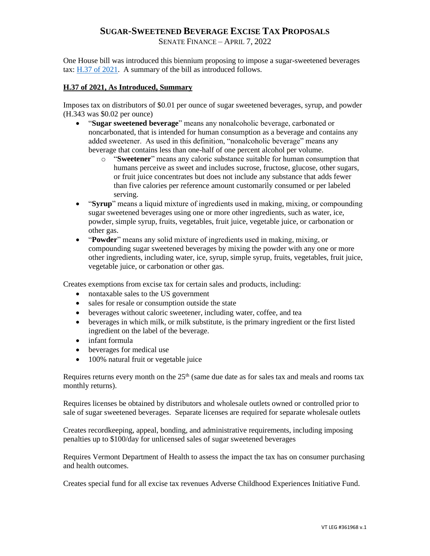## **SUGAR-SWEETENED BEVERAGE EXCISE TAX PROPOSALS**

SENATE FINANCE – APRIL 7, 2022

One House bill was introduced this biennium proposing to impose a sugar-sweetened beverages tax:  $\underline{H.37}$  of 2021. A summary of the bill as introduced follows.

## **H.37 of 2021, As Introduced, Summary**

Imposes tax on distributors of \$0.01 per ounce of sugar sweetened beverages, syrup, and powder (H.343 was \$0.02 per ounce)

- "**Sugar sweetened beverage**" means any nonalcoholic beverage, carbonated or noncarbonated, that is intended for human consumption as a beverage and contains any added sweetener. As used in this definition, "nonalcoholic beverage" means any beverage that contains less than one-half of one percent alcohol per volume.
	- o "**Sweetener**" means any caloric substance suitable for human consumption that humans perceive as sweet and includes sucrose, fructose, glucose, other sugars, or fruit juice concentrates but does not include any substance that adds fewer than five calories per reference amount customarily consumed or per labeled serving.
- "**Syrup**" means a liquid mixture of ingredients used in making, mixing, or compounding sugar sweetened beverages using one or more other ingredients, such as water, ice, powder, simple syrup, fruits, vegetables, fruit juice, vegetable juice, or carbonation or other gas.
- "**Powder**" means any solid mixture of ingredients used in making, mixing, or compounding sugar sweetened beverages by mixing the powder with any one or more other ingredients, including water, ice, syrup, simple syrup, fruits, vegetables, fruit juice, vegetable juice, or carbonation or other gas.

Creates exemptions from excise tax for certain sales and products, including:

- nontaxable sales to the US government
- sales for resale or consumption outside the state
- beverages without caloric sweetener, including water, coffee, and tea
- beverages in which milk, or milk substitute, is the primary ingredient or the first listed ingredient on the label of the beverage.
- infant formula
- beverages for medical use
- 100% natural fruit or vegetable juice

Requires returns every month on the  $25<sup>th</sup>$  (same due date as for sales tax and meals and rooms tax monthly returns).

Requires licenses be obtained by distributors and wholesale outlets owned or controlled prior to sale of sugar sweetened beverages. Separate licenses are required for separate wholesale outlets

Creates recordkeeping, appeal, bonding, and administrative requirements, including imposing penalties up to \$100/day for unlicensed sales of sugar sweetened beverages

Requires Vermont Department of Health to assess the impact the tax has on consumer purchasing and health outcomes.

Creates special fund for all excise tax revenues Adverse Childhood Experiences Initiative Fund.